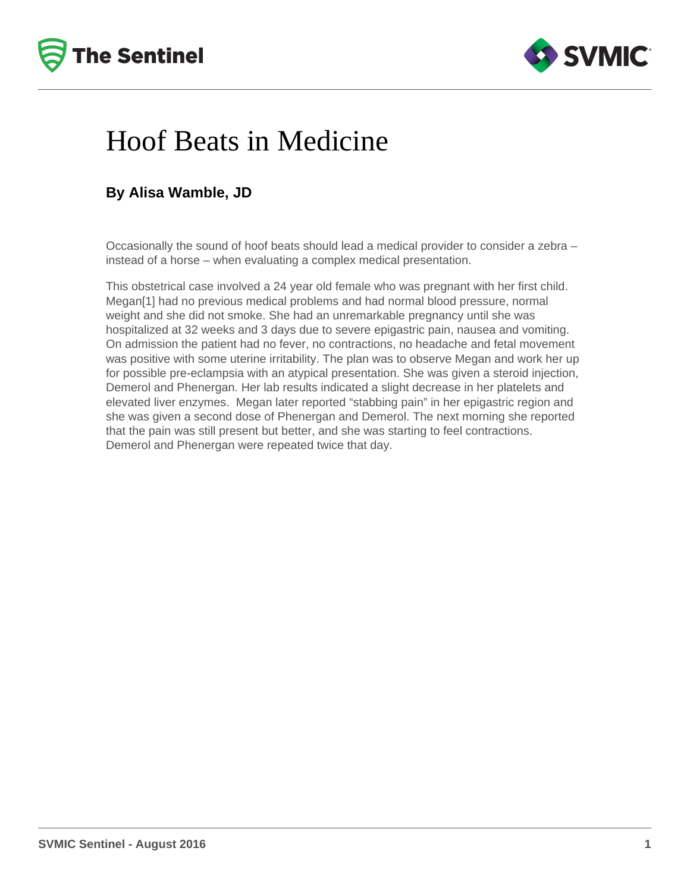



## Hoof Beats in Medicine

## **By Alisa Wamble, JD**

Occasionally the sound of hoof beats should lead a medical provider to consider a zebra – instead of a horse – when evaluating a complex medical presentation.

This obstetrical case involved a 24 year old female who was pregnant with her first child. Megan[1] had no previous medical problems and had normal blood pressure, normal weight and she did not smoke. She had an unremarkable pregnancy until she was hospitalized at 32 weeks and 3 days due to severe epigastric pain, nausea and vomiting. On admission the patient had no fever, no contractions, no headache and fetal movement was positive with some uterine irritability. The plan was to observe Megan and work her up for possible pre-eclampsia with an atypical presentation. She was given a steroid injection, Demerol and Phenergan. Her lab results indicated a slight decrease in her platelets and elevated liver enzymes. Megan later reported "stabbing pain" in her epigastric region and she was given a second dose of Phenergan and Demerol. The next morning she reported that the pain was still present but better, and she was starting to feel contractions. Demerol and Phenergan were repeated twice that day.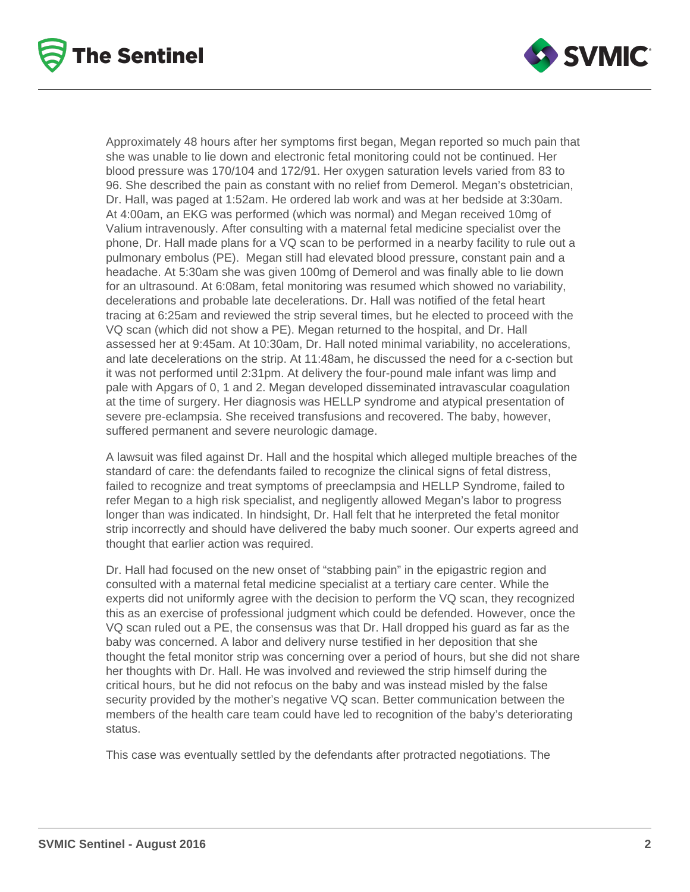



Approximately 48 hours after her symptoms first began, Megan reported so much pain that she was unable to lie down and electronic fetal monitoring could not be continued. Her blood pressure was 170/104 and 172/91. Her oxygen saturation levels varied from 83 to 96. She described the pain as constant with no relief from Demerol. Megan's obstetrician, Dr. Hall, was paged at 1:52am. He ordered lab work and was at her bedside at 3:30am. At 4:00am, an EKG was performed (which was normal) and Megan received 10mg of Valium intravenously. After consulting with a maternal fetal medicine specialist over the phone, Dr. Hall made plans for a VQ scan to be performed in a nearby facility to rule out a pulmonary embolus (PE). Megan still had elevated blood pressure, constant pain and a headache. At 5:30am she was given 100mg of Demerol and was finally able to lie down for an ultrasound. At 6:08am, fetal monitoring was resumed which showed no variability, decelerations and probable late decelerations. Dr. Hall was notified of the fetal heart tracing at 6:25am and reviewed the strip several times, but he elected to proceed with the VQ scan (which did not show a PE). Megan returned to the hospital, and Dr. Hall assessed her at 9:45am. At 10:30am, Dr. Hall noted minimal variability, no accelerations, and late decelerations on the strip. At 11:48am, he discussed the need for a c-section but it was not performed until 2:31pm. At delivery the four-pound male infant was limp and pale with Apgars of 0, 1 and 2. Megan developed disseminated intravascular coagulation at the time of surgery. Her diagnosis was HELLP syndrome and atypical presentation of severe pre-eclampsia. She received transfusions and recovered. The baby, however, suffered permanent and severe neurologic damage.

A lawsuit was filed against Dr. Hall and the hospital which alleged multiple breaches of the standard of care: the defendants failed to recognize the clinical signs of fetal distress, failed to recognize and treat symptoms of preeclampsia and HELLP Syndrome, failed to refer Megan to a high risk specialist, and negligently allowed Megan's labor to progress longer than was indicated. In hindsight, Dr. Hall felt that he interpreted the fetal monitor strip incorrectly and should have delivered the baby much sooner. Our experts agreed and thought that earlier action was required.

Dr. Hall had focused on the new onset of "stabbing pain" in the epigastric region and consulted with a maternal fetal medicine specialist at a tertiary care center. While the experts did not uniformly agree with the decision to perform the VQ scan, they recognized this as an exercise of professional judgment which could be defended. However, once the VQ scan ruled out a PE, the consensus was that Dr. Hall dropped his guard as far as the baby was concerned. A labor and delivery nurse testified in her deposition that she thought the fetal monitor strip was concerning over a period of hours, but she did not share her thoughts with Dr. Hall. He was involved and reviewed the strip himself during the critical hours, but he did not refocus on the baby and was instead misled by the false security provided by the mother's negative VQ scan. Better communication between the members of the health care team could have led to recognition of the baby's deteriorating status.

This case was eventually settled by the defendants after protracted negotiations. The